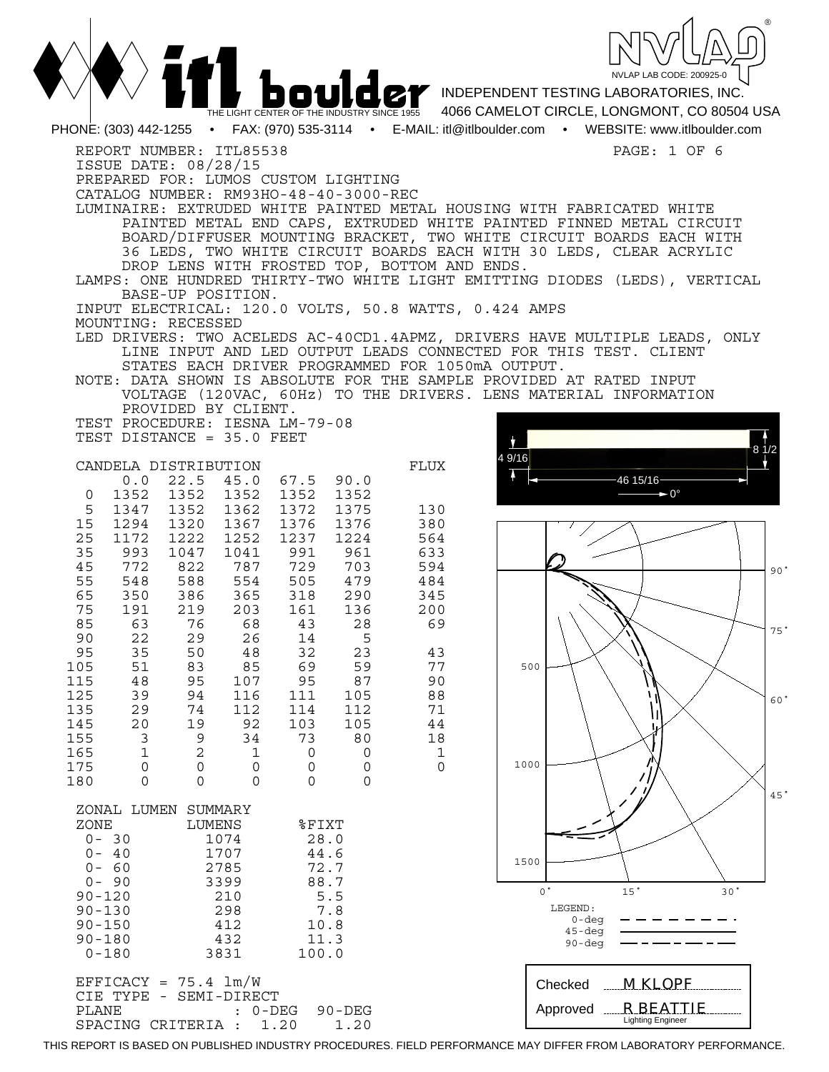

|                                                                                                                                                                                                                                                                                                                                                                                                                                                                                                                        | THE LIGHT CENTER OF THE INDUSTRY SINCE 1955                                                                                                                                                                                                                                                |                                                                                                                                                                                                                                                                                               | <b>DOULEY</b> INDEPENDENT TESTING LABORATORIES, INC.<br>4066 CAMELOT CIRCLE, LONGMONT, CO 80504 USA                                                                                                                                                                                                                                                                                                                                                                                                                                                                                                                                                                                 |
|------------------------------------------------------------------------------------------------------------------------------------------------------------------------------------------------------------------------------------------------------------------------------------------------------------------------------------------------------------------------------------------------------------------------------------------------------------------------------------------------------------------------|--------------------------------------------------------------------------------------------------------------------------------------------------------------------------------------------------------------------------------------------------------------------------------------------|-----------------------------------------------------------------------------------------------------------------------------------------------------------------------------------------------------------------------------------------------------------------------------------------------|-------------------------------------------------------------------------------------------------------------------------------------------------------------------------------------------------------------------------------------------------------------------------------------------------------------------------------------------------------------------------------------------------------------------------------------------------------------------------------------------------------------------------------------------------------------------------------------------------------------------------------------------------------------------------------------|
|                                                                                                                                                                                                                                                                                                                                                                                                                                                                                                                        |                                                                                                                                                                                                                                                                                            |                                                                                                                                                                                                                                                                                               | PHONE: (303) 442-1255 • FAX: (970) 535-3114 • E-MAIL: itl@itlboulder.com • WEBSITE: www.itlboulder.com                                                                                                                                                                                                                                                                                                                                                                                                                                                                                                                                                                              |
| REPORT NUMBER: ITL85538<br>ISSUE DATE: 08/28/15<br>BASE-UP POSITION.<br>MOUNTING: RECESSED<br>PROVIDED BY CLIENT.                                                                                                                                                                                                                                                                                                                                                                                                      | PREPARED FOR: LUMOS CUSTOM LIGHTING<br>CATALOG NUMBER: RM93HO-48-40-3000-REC<br>TEST PROCEDURE: IESNA LM-79-08                                                                                                                                                                             | DROP LENS WITH FROSTED TOP, BOTTOM AND ENDS.<br>INPUT ELECTRICAL: 120.0 VOLTS, 50.8 WATTS, 0.424 AMPS<br>STATES EACH DRIVER PROGRAMMED FOR 1050mA OUTPUT.                                                                                                                                     | PAGE: 1 OF 6<br>LUMINAIRE: EXTRUDED WHITE PAINTED METAL HOUSING WITH FABRICATED WHITE<br>PAINTED METAL END CAPS, EXTRUDED WHITE PAINTED FINNED METAL CIRCUIT<br>BOARD/DIFFUSER MOUNTING BRACKET, TWO WHITE CIRCUIT BOARDS EACH WITH<br>36 LEDS, TWO WHITE CIRCUIT BOARDS EACH WITH 30 LEDS, CLEAR ACRYLIC<br>LAMPS: ONE HUNDRED THIRTY-TWO WHITE LIGHT EMITTING DIODES (LEDS), VERTICAL<br>LED DRIVERS: TWO ACELEDS AC-40CD1.4APMZ, DRIVERS HAVE MULTIPLE LEADS, ONLY<br>LINE INPUT AND LED OUTPUT LEADS CONNECTED FOR THIS TEST. CLIENT<br>NOTE: DATA SHOWN IS ABSOLUTE FOR THE SAMPLE PROVIDED AT RATED INPUT<br>VOLTAGE (120VAC, 60Hz) TO THE DRIVERS. LENS MATERIAL INFORMATION |
| TEST DISTANCE = 35.0 FEET<br>CANDELA DISTRIBUTION<br>$0.0$ 22.5 45.0<br>1352<br>1352<br>0<br>5<br>1347<br>1352<br>1294<br>1320 1367<br>15<br>25<br>1172<br>1222<br>35<br>993<br>1047<br>45<br>772<br>822<br>55<br>548<br>588<br>65<br>350<br>386<br>219<br>75<br>191<br>85<br>63<br>76<br>90<br>22<br>29<br>95<br>35<br>50<br>105<br>51<br>83<br>115<br>95<br>48<br>125<br>39<br>94<br>135<br>29<br>74<br>145<br>20<br>19<br>3<br>9<br>155<br>165<br>2<br>1<br>175<br>$\mathsf{O}$<br>0<br>$\Omega$<br>180<br>$\Omega$ | 67.5<br>1352<br>1352<br>1362<br>1372<br>1376<br>1252<br>1237<br>991<br>1041<br>787<br>729<br>554<br>505<br>318<br>365<br>203<br>161<br>68<br>43<br>26<br>14<br>32<br>48<br>69<br>85<br>95<br>107<br>116<br>111<br>112<br>114<br>92<br>103<br>73<br>34<br>1<br>0<br>0<br>0<br>0<br>$\Omega$ | FLUX<br>90.0<br>1352<br>1375<br>130<br>1376<br>380<br>1224<br>564<br>961<br>633<br>594<br>703<br>479<br>484<br>290<br>345<br>136<br>200<br>28<br>69<br>5<br>23<br>43<br>59<br>77<br>90<br>87<br>88<br>105<br>112<br>71<br>105<br>44<br>80<br>18<br>$\mathbf{1}$<br>0<br>$\mathbf 0$<br>0<br>0 | 4 9/16<br>46 15/16-<br>$\blacktriangleright$ 0°<br>90 <sup>o</sup><br>75°<br>500<br>60<br>1000<br>45'                                                                                                                                                                                                                                                                                                                                                                                                                                                                                                                                                                               |
| ZONAL LUMEN<br>ZONE<br>$0 - 30$<br>$0 - 40$<br>$0 - 60$<br>$0 - 90$<br>$90 - 120$<br>$90 - 130$<br>$90 - 150$<br>$90 - 180$<br>$0 - 180$                                                                                                                                                                                                                                                                                                                                                                               | SUMMARY<br>LUMENS<br>%FIXT<br>1074<br>28.0<br>1707<br>44.6<br>2785<br>72.7<br>88.7<br>3399<br>210<br>5.5<br>298<br>7.8<br>412<br>10.8<br>432<br>11.3<br>3831<br>100.0                                                                                                                      |                                                                                                                                                                                                                                                                                               | 1500<br>$^{\circ}$<br>15 <sup>°</sup><br>30 <sup>o</sup><br>LEGEND:<br>$0 - deg$<br>$45 - deg$<br>90-deg                                                                                                                                                                                                                                                                                                                                                                                                                                                                                                                                                                            |

 $EFFICK = 75.4 1m/W$ CIE TYPE - SEMI-DIRECT<br>PLANE : 0-DI : 0-DEG 90-DEG<br>: 1.20 1.20 SPACING CRITERIA : 1.20



 *R BEATTIE* Lighting Engineer

Approved

THIS REPORT IS BASED ON PUBLISHED INDUSTRY PROCEDURES. FIELD PERFORMANCE MAY DIFFER FROM LABORATORY PERFORMANCE.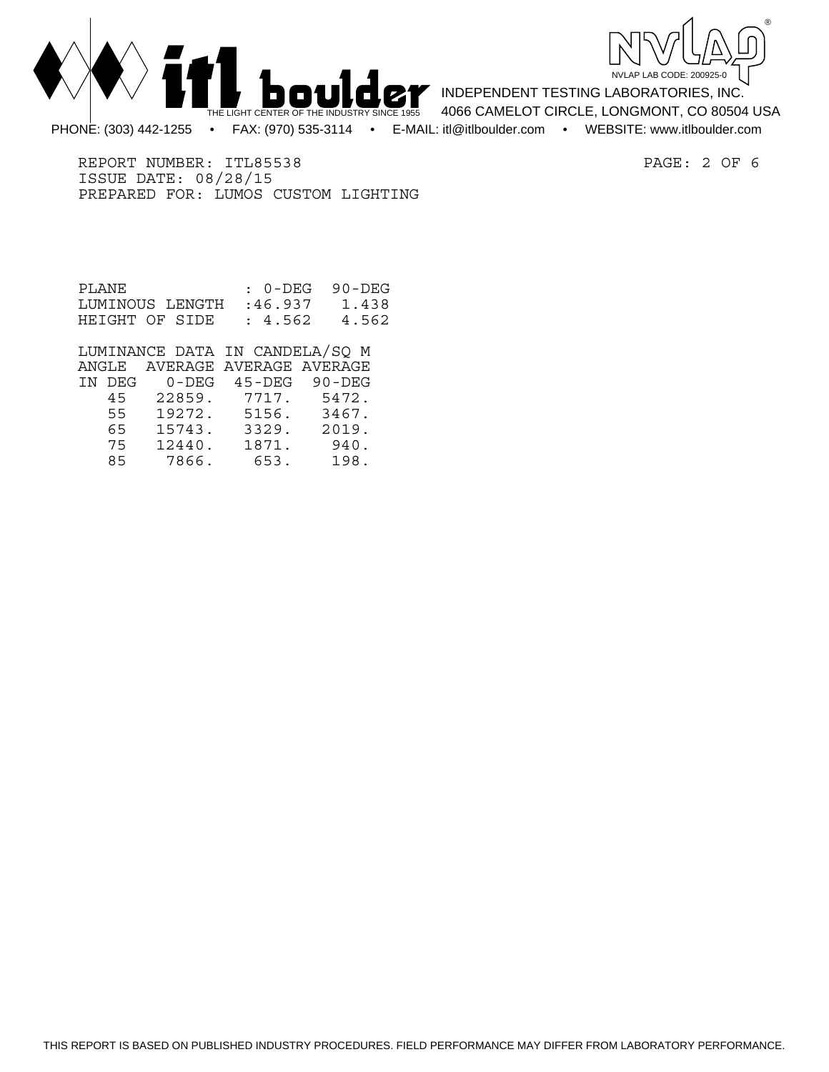



INDEPENDENT TESTING LABORATORIES, INC. 4066 CAMELOT CIRCLE, LONGMONT, CO 80504 USA PHONE: (303) 442-1255 • FAX: (970) 535-3114 • E-MAIL: itl@itlboulder.com • WEBSITE: www.itlboulder.com

REPORT NUMBER: ITL85538 PAGE: 2 OF 6 ISSUE DATE: 08/28/15 PREPARED FOR: LUMOS CUSTOM LIGHTING

| PLANE.                  | : 0-DEG 90-DEG |       |
|-------------------------|----------------|-------|
| LUMINOUS LENGTH :46.937 |                | 1.438 |
| HEIGHT OF SIDE          | : 4.562        | 4.562 |

 LUMINANCE DATA IN CANDELA/SQ M ANGLE AVERAGE AVERAGE AVERAGE IN DEG 0-DEG 45-DEG 90-DEG 45 22859. 7717. 5472. 55 19272. 5156. 3467. 65 15743. 3329. 2019. 12440. 1871. 85 7866. 653. 198.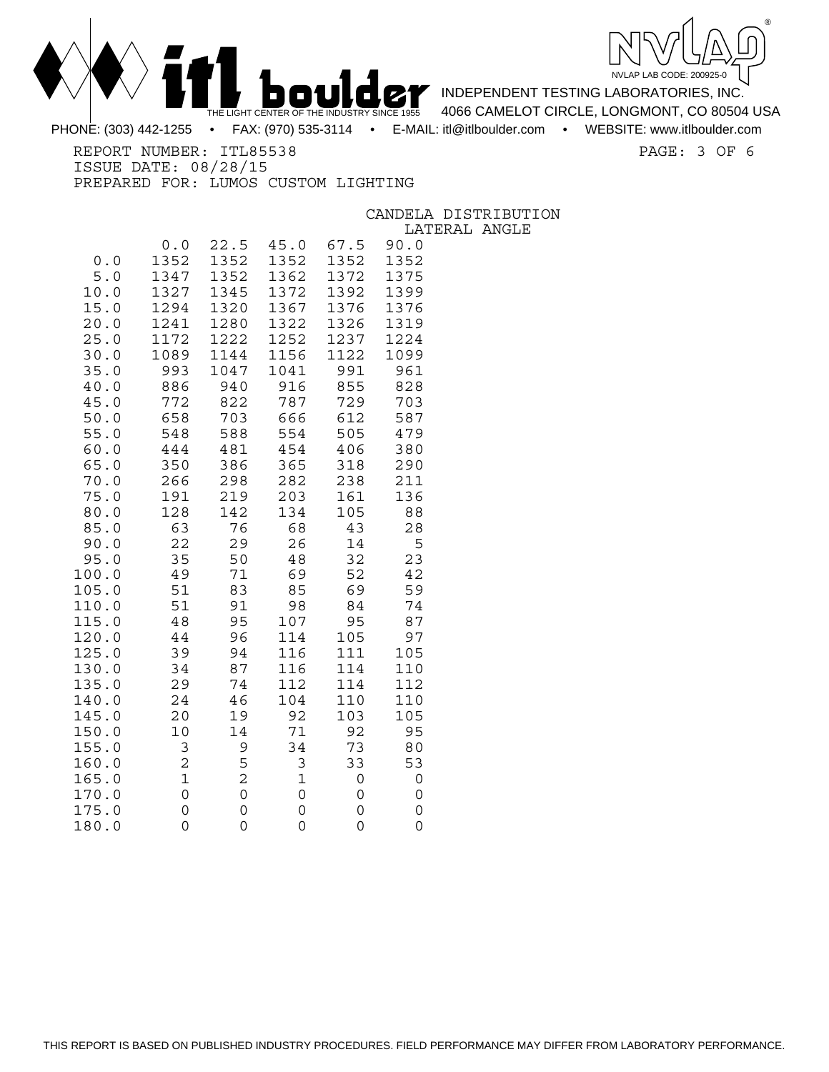



INDEPENDENT TESTING LABORATORIES, INC. 4066 CAMELOT CIRCLE, LONGMONT, CO 80504 USA

PHONE: (303) 442-1255 • FAX: (970) 535-3114 • E-MAIL: itl@itlboulder.com • WEBSITE: www.itlboulder.com

REPORT NUMBER: ITL85538 PAGE: 3 OF 6

ISSUE DATE: 08/28/15 PREPARED FOR: LUMOS CUSTOM LIGHTING

CANDELA DISTRIBUTION

LATERAL ANGLE

|                     |                |            |             |            | ⊥പപ        |
|---------------------|----------------|------------|-------------|------------|------------|
|                     | 0.0            | 22.5       | 45.0        | 67.5       | 90.0       |
| 0.0                 | 1352           | 1352       | 1352        | 1352       | 1352       |
| 5.0                 | 1347           | 1352       | 1362        | 1372       | 1375       |
| 10.0                | 1327           | 1345       | 1372        | 1392       | 1399       |
| 15.0                | 1294           | 1320       | 1367        | 1376       | 1376       |
| 20.0                | 1241           | 1280       | 1322        | 1326       | 1319       |
| 25.0                | 1172           | 1222       | 1252        | 1237       | 1224       |
| 30.0                | 1089           | 1144       | 1156        | 1122       | 1099       |
| 35.0                | 993            | 1047       | 1041        | 991        | 961        |
| 40.0                | 886            | 940        | 916         | 855        | 828        |
| 45.0                | 772            | 822        | 787         | 729        | 703        |
| 50.0                | 658            | 703        | 666         | 612        | 587        |
| 55.0                | 548            | 588        | 554         | 505        | 479        |
| 60.0                | 444            | 481        | 454         | 406        | 380        |
| 65.0<br>70.0        | 350            | 386        | 365         | 318<br>238 | 290        |
| 75.0                | 266<br>191     | 298<br>219 | 282<br>203  | 161        | 211<br>136 |
| 80.0                | 128            | 142        | 134         | 105        | 88         |
| 85.0                | 63             | 76         | 68          | 43         | 28         |
| 90.0                | 22             | 29         | 26          | 14         | 5          |
| 95.0                | 35             | 50         | 48          | 32         | 23         |
| 100.0               | 49             | 71         | 69          | 52         | 42         |
| 105.0               | 51             | 83         | 85          | 69         | 59         |
| 110.0               | 51             | 91         | 98          | 84         | 74         |
| 115.0               | 48             | 95         | 107         | 95         | 87         |
| 120.0               | 44             | 96         | 114         | 105        | 97         |
| 125.0               | 39             | 94         | 116         | 111        | 105        |
| 130.0               | 34             | 87         | 116         | 114        | 110        |
| 135.0               | 29             | 74         | 112         | 114        | 112        |
| 140.0               | 24             | 46         | 104         | 110        | 110        |
| 145.0               | 20             | 19         | 92          | 103        | 105        |
| 150.0               | 10             | 14         | 71          | 92         | 95         |
| 155.0               | 3              | 9          | 34          | 73         | 80         |
| 160.0               | $\overline{c}$ | 5          | 3           | 33         | 53         |
| 165.0               | $\mathbf 1$    | 2          | $\mathbf 1$ | 0          | 0          |
| 170.<br>$\Omega$    | 0              | 0          | 0           | 0          | 0          |
| 175.0               | $\mathsf{O}$   | 0          | 0           | 0          | 0          |
| 180.<br>$\mathbf 0$ | $\mathsf{O}$   | 0          | 0           | 0          | 0          |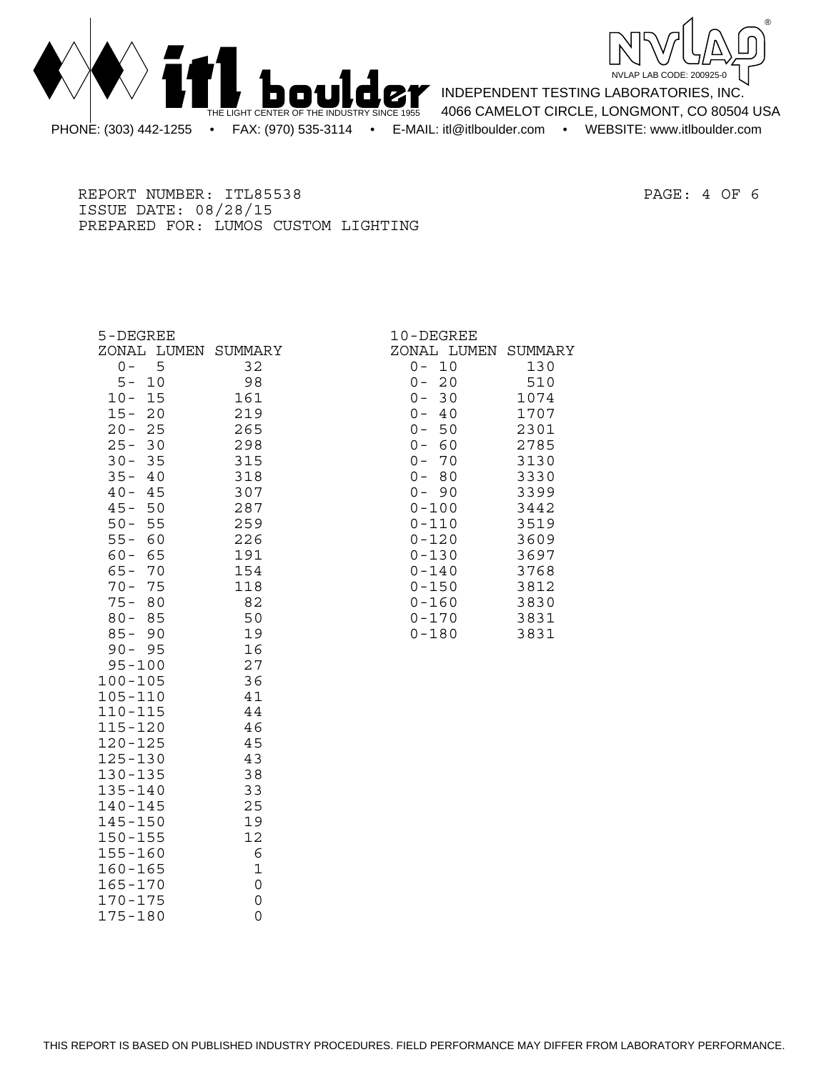



INDEPENDENT TESTING LABORATORIES, INC. 4066 CAMELOT CIRCLE, LONGMONT, CO 80504 USA PHONE: (303) 442-1255 • FAX: (970) 535-3114 • E-MAIL: itl@itlboulder.com • WEBSITE: www.itlboulder.com

REPORT NUMBER: ITL85538 PAGE: 4 OF 6 ISSUE DATE: 08/28/15 PREPARED FOR: LUMOS CUSTOM LIGHTING

| 5-DEGREE            |             | 10-DEGREE           |      |
|---------------------|-------------|---------------------|------|
| ZONAL LUMEN SUMMARY |             | ZONAL LUMEN SUMMARY |      |
| 5<br>$0 -$          | 32          | 10<br>$0 -$         | 130  |
| $5 -$<br>10         | 98          | $0 -$<br>20         | 510  |
| $10 -$<br>15        | 161         | $0 -$<br>30         | 1074 |
| $15 -$<br>20        | 219         | $0 -$<br>40         | 1707 |
| 25<br>$20 -$        | 265         | $0 - 50$            | 2301 |
| $25 -$<br>30        | 298         | $0 - 60$            | 2785 |
| $30 -$<br>35        | 315         | $0 -$<br>70         | 3130 |
| $35 -$<br>-40       | 318         | $0 -$<br>80         | 3330 |
| $40 -$<br>45        | 307         | $0 - 90$            | 3399 |
| $45 -$<br>50        | 287         | $0 - 100$           | 3442 |
| $50 -$<br>55        | 259         | $0 - 110$           | 3519 |
| $55 -$<br>60        | 226         | $0 - 120$           | 3609 |
| $60 -$<br>65        | 191         | $0 - 130$           | 3697 |
| $65 -$<br>70        | 154         | $0 - 140$           | 3768 |
| $70 -$<br>75        | 118         | $0 - 150$           | 3812 |
| $75 -$<br>80        | 82          | $0 - 160$           | 3830 |
| $80 -$<br>85        | 50          | $0 - 170$           | 3831 |
| $85 -$<br>90        | 19          | $0 - 180$           | 3831 |
| $90 - 95$           | 16          |                     |      |
| $95 - 100$          | 27          |                     |      |
| $100 - 105$         | 36          |                     |      |
| $105 - 110$         | 41          |                     |      |
| $110 - 115$         | 44          |                     |      |
| $115 - 120$         | 46          |                     |      |
| $120 - 125$         | 45          |                     |      |
| $125 - 130$         | 43          |                     |      |
| $130 - 135$         | 38          |                     |      |
| $135 - 140$         | 33          |                     |      |
| $140 - 145$         | 25          |                     |      |
| $145 - 150$         | 19          |                     |      |
| $150 - 155$         | 12          |                     |      |
| $155 - 160$         | 6           |                     |      |
| $160 - 165$         | $\mathbf 1$ |                     |      |
| $165 - 170$         | 0           |                     |      |
| $170 - 175$         | 0           |                     |      |
| 175-180             | 0           |                     |      |

 $175 - 180$ 

|               | -DEGREE   |        |
|---------------|-----------|--------|
|               | JAL LUMEN | SUMMAR |
| $\mathcal{C}$ | 10        | 130    |
|               | 20        | 510    |
|               | 30        | 1074   |
|               | 40        | 1707   |
| ) ))))))      | 50        | 2301   |
|               | 60        | 2785   |
|               | 70        | 3130   |
|               | 80        | 3330   |
|               | 90        | 3399   |
| $-100$        |           | 3442   |
| $-110$        |           | 3519   |
| ) – 120       |           | 3609   |
| $-130$        |           | 3697   |
| $-140$        |           | 3768   |
| $-150$        |           | 3812   |
| $-160$        |           | 3830   |
| $-170$        |           | 3831   |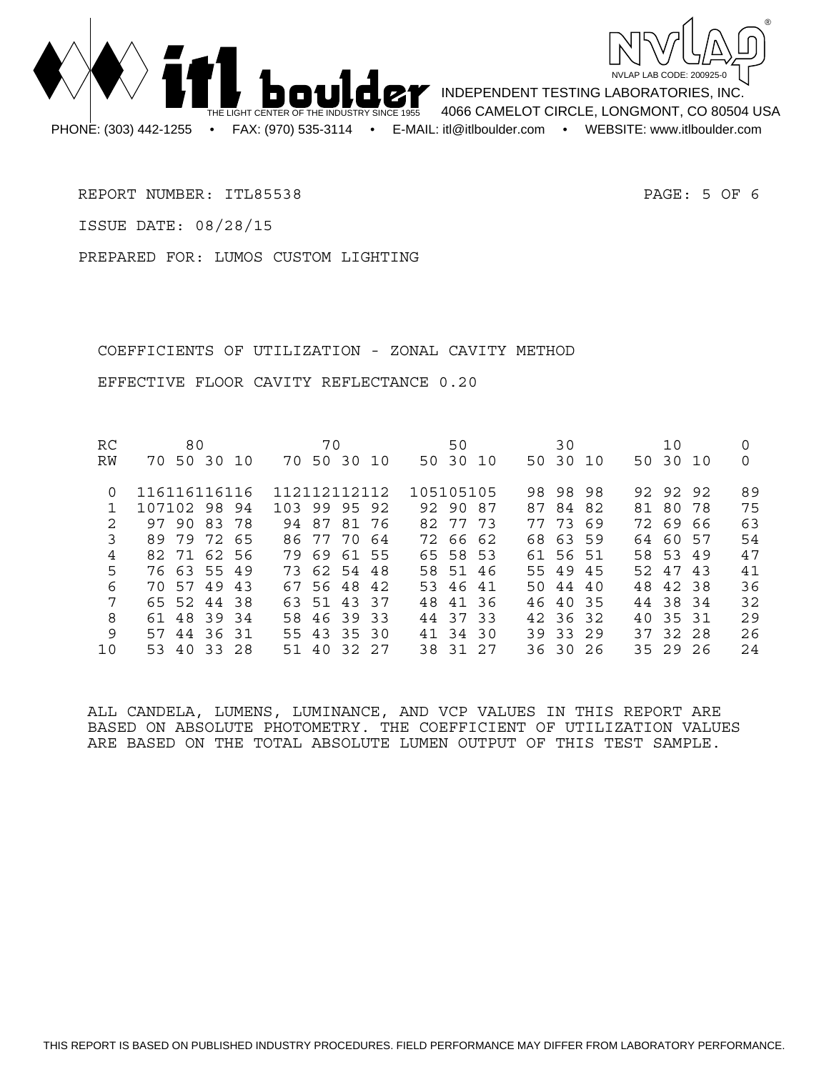



INDEPENDENT TESTING LABORATORIES, INC. 4066 CAMELOT CIRCLE, LONGMONT, CO 80504 USA

REPORT NUMBER: ITL85538 PAGE: 5 OF 6

ISSUE DATE: 08/28/15

PREPARED FOR: LUMOS CUSTOM LIGHTING

 COEFFICIENTS OF UTILIZATION - ZONAL CAVITY METHOD EFFECTIVE FLOOR CAVITY REFLECTANCE 0.20

| RC       | 80                   | 70                  | 50          | 30            | 10          |    |
|----------|----------------------|---------------------|-------------|---------------|-------------|----|
| RW       | 50 30<br>70<br>- 1 O | 50 30 10<br>70      | 50 30<br>10 | 50 30 10      | 50 30 10    | 0  |
| $\Omega$ | 116116116116         | 112112112112        | 105105105   | 98 98<br>98.  | 92.<br>9292 | 89 |
|          | 107102 98 94         | 103 99 95 92        | 92 90 87    | 84 82<br>87   | 81 80 78    | 75 |
| 2        | 97 90 83 78          | 94 87<br>8176       | 82 77 73    | 77 73<br>- 69 | 72 69 66    | 63 |
| 3        | 72<br>79<br>89<br>65 | 77 70<br>86.<br>-64 | 72 66 62    | 68 63 59      | 64 60 57    | 54 |
| 4        | 82 71 62 56          | 7969<br>61 55       | 65 58 53    | 61 56 51      | 58 53 49    | 47 |
| 5        | 76 63 55 49          | 73 62 54 48         | 58 51 46    | 55 49 45      | 52 47 43    | 41 |
| 6        | 70 57<br>49<br>43    | 67 56 48 42         | 53 46 41    | 50 44 40      | 48 42 38    | 36 |
| 7        | 65 52 44 38          | 63 51 43 37         | 48 41 36    | 46 40 35      | 44 38 34    | 32 |
| 8        | 61 48 39 34          | 58 46 39 33         | 44 37 33    | 42 36 32      | 40 35 31    | 29 |
| 9        | 57<br>44 36 31       | 55 43<br>35 30      | 41 34 30    | 39 33 29      | 37 32 28    | 26 |
| 10       | 33 28<br>53 40       | 51 40<br>32.27      | 38 31 27    | 363026        | 35 29 26    | 24 |

ALL CANDELA, LUMENS, LUMINANCE, AND VCP VALUES IN THIS REPORT ARE BASED ON ABSOLUTE PHOTOMETRY. THE COEFFICIENT OF UTILIZATION VALUES ARE BASED ON THE TOTAL ABSOLUTE LUMEN OUTPUT OF THIS TEST SAMPLE.